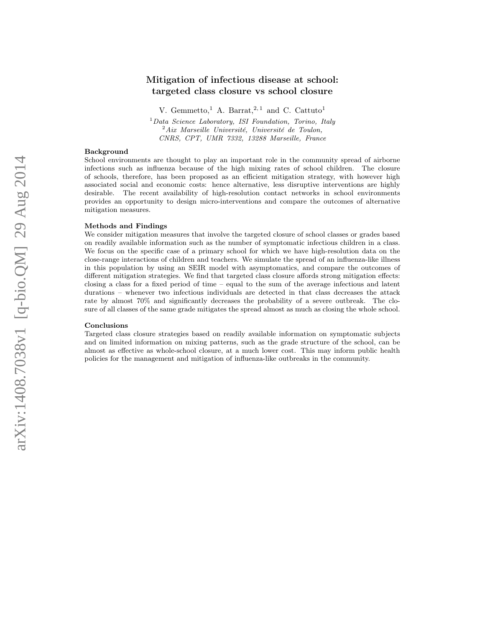# Mitigation of infectious disease at school: targeted class closure vs school closure

V. Gemmetto,<sup>1</sup> A. Barrat,<sup>2,1</sup> and C. Cattuto<sup>1</sup>

 $1$ Data Science Laboratory, ISI Foundation, Torino, Italy  $2Aix$  Marseille Université, Université de Toulon, CNRS, CPT, UMR 7332, 13288 Marseille, France

#### Background

School environments are thought to play an important role in the community spread of airborne infections such as influenza because of the high mixing rates of school children. The closure of schools, therefore, has been proposed as an efficient mitigation strategy, with however high associated social and economic costs: hence alternative, less disruptive interventions are highly desirable. The recent availability of high-resolution contact networks in school environments provides an opportunity to design micro-interventions and compare the outcomes of alternative mitigation measures.

# Methods and Findings

We consider mitigation measures that involve the targeted closure of school classes or grades based on readily available information such as the number of symptomatic infectious children in a class. We focus on the specific case of a primary school for which we have high-resolution data on the close-range interactions of children and teachers. We simulate the spread of an influenza-like illness in this population by using an SEIR model with asymptomatics, and compare the outcomes of different mitigation strategies. We find that targeted class closure affords strong mitigation effects: closing a class for a fixed period of time – equal to the sum of the average infectious and latent durations – whenever two infectious individuals are detected in that class decreases the attack rate by almost 70% and significantly decreases the probability of a severe outbreak. The closure of all classes of the same grade mitigates the spread almost as much as closing the whole school.

#### Conclusions

Targeted class closure strategies based on readily available information on symptomatic subjects and on limited information on mixing patterns, such as the grade structure of the school, can be almost as effective as whole-school closure, at a much lower cost. This may inform public health policies for the management and mitigation of influenza-like outbreaks in the community.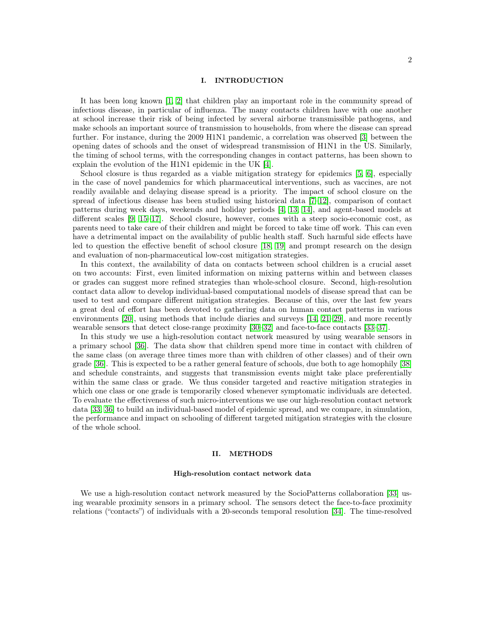## I. INTRODUCTION

It has been long known [\[1,](#page-12-0) [2\]](#page-12-1) that children play an important role in the community spread of infectious disease, in particular of influenza. The many contacts children have with one another at school increase their risk of being infected by several airborne transmissible pathogens, and make schools an important source of transmission to households, from where the disease can spread further. For instance, during the 2009 H1N1 pandemic, a correlation was observed [\[3\]](#page-12-2) between the opening dates of schools and the onset of widespread transmission of H1N1 in the US. Similarly, the timing of school terms, with the corresponding changes in contact patterns, has been shown to explain the evolution of the H1N1 epidemic in the UK [\[4\]](#page-12-3).

School closure is thus regarded as a viable mitigation strategy for epidemics [\[5,](#page-12-4) [6\]](#page-12-5), especially in the case of novel pandemics for which pharmaceutical interventions, such as vaccines, are not readily available and delaying disease spread is a priority. The impact of school closure on the spread of infectious disease has been studied using historical data [\[7–](#page-12-6)[12\]](#page-12-7), comparison of contact patterns during week days, weekends and holiday periods [\[4,](#page-12-3) [13,](#page-12-8) [14\]](#page-12-9), and agent-based models at different scales [\[9,](#page-12-10) [15](#page-12-11)[–17\]](#page-12-12). School closure, however, comes with a steep socio-economic cost, as parents need to take care of their children and might be forced to take time off work. This can even have a detrimental impact on the availability of public health staff. Such harmful side effects have led to question the effective benefit of school closure [\[18,](#page-12-13) [19\]](#page-12-14) and prompt research on the design and evaluation of non-pharmaceutical low-cost mitigation strategies.

In this context, the availability of data on contacts between school children is a crucial asset on two accounts: First, even limited information on mixing patterns within and between classes or grades can suggest more refined strategies than whole-school closure. Second, high-resolution contact data allow to develop individual-based computational models of disease spread that can be used to test and compare different mitigation strategies. Because of this, over the last few years a great deal of effort has been devoted to gathering data on human contact patterns in various environments [\[20\]](#page-12-15), using methods that include diaries and surveys [\[14,](#page-12-9) [21–](#page-12-16)[29\]](#page-13-0), and more recently wearable sensors that detect close-range proximity [\[30–](#page-13-1)[32\]](#page-13-2) and face-to-face contacts [\[33–](#page-13-3)[37\]](#page-13-4).

In this study we use a high-resolution contact network measured by using wearable sensors in a primary school [\[36\]](#page-13-5). The data show that children spend more time in contact with children of the same class (on average three times more than with children of other classes) and of their own grade [\[36\]](#page-13-5). This is expected to be a rather general feature of schools, due both to age homophily [\[38\]](#page-13-6) and schedule constraints, and suggests that transmission events might take place preferentially within the same class or grade. We thus consider targeted and reactive mitigation strategies in which one class or one grade is temporarily closed whenever symptomatic individuals are detected. To evaluate the effectiveness of such micro-interventions we use our high-resolution contact network data [\[33,](#page-13-3) [36\]](#page-13-5) to build an individual-based model of epidemic spread, and we compare, in simulation, the performance and impact on schooling of different targeted mitigation strategies with the closure of the whole school.

# II. METHODS

## High-resolution contact network data

We use a high-resolution contact network measured by the SocioPatterns collaboration [\[33\]](#page-13-3) using wearable proximity sensors in a primary school. The sensors detect the face-to-face proximity relations ("contacts") of individuals with a 20-seconds temporal resolution [\[34\]](#page-13-7). The time-resolved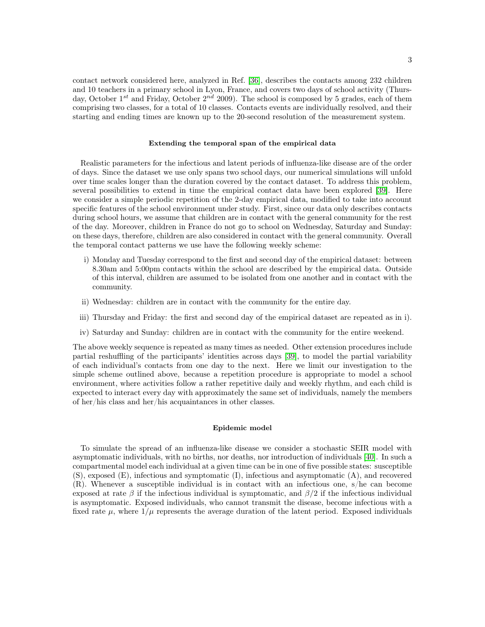contact network considered here, analyzed in Ref. [\[36\]](#page-13-5), describes the contacts among 232 children and 10 teachers in a primary school in Lyon, France, and covers two days of school activity (Thursday, October 1<sup>st</sup> and Friday, October  $2^{nd}$  2009). The school is composed by 5 grades, each of them comprising two classes, for a total of 10 classes. Contacts events are individually resolved, and their starting and ending times are known up to the 20-second resolution of the measurement system.

#### Extending the temporal span of the empirical data

Realistic parameters for the infectious and latent periods of influenza-like disease are of the order of days. Since the dataset we use only spans two school days, our numerical simulations will unfold over time scales longer than the duration covered by the contact dataset. To address this problem, several possibilities to extend in time the empirical contact data have been explored [\[39\]](#page-13-8). Here we consider a simple periodic repetition of the 2-day empirical data, modified to take into account specific features of the school environment under study. First, since our data only describes contacts during school hours, we assume that children are in contact with the general community for the rest of the day. Moreover, children in France do not go to school on Wednesday, Saturday and Sunday: on these days, therefore, children are also considered in contact with the general community. Overall the temporal contact patterns we use have the following weekly scheme:

- i) Monday and Tuesday correspond to the first and second day of the empirical dataset: between 8.30am and 5:00pm contacts within the school are described by the empirical data. Outside of this interval, children are assumed to be isolated from one another and in contact with the community.
- ii) Wednesday: children are in contact with the community for the entire day.
- iii) Thursday and Friday: the first and second day of the empirical dataset are repeated as in i).
- iv) Saturday and Sunday: children are in contact with the community for the entire weekend.

The above weekly sequence is repeated as many times as needed. Other extension procedures include partial reshuffling of the participants' identities across days [\[39\]](#page-13-8), to model the partial variability of each individual's contacts from one day to the next. Here we limit our investigation to the simple scheme outlined above, because a repetition procedure is appropriate to model a school environment, where activities follow a rather repetitive daily and weekly rhythm, and each child is expected to interact every day with approximately the same set of individuals, namely the members of her/his class and her/his acquaintances in other classes.

## Epidemic model

To simulate the spread of an influenza-like disease we consider a stochastic SEIR model with asymptomatic individuals, with no births, nor deaths, nor introduction of individuals [\[40\]](#page-13-9). In such a compartmental model each individual at a given time can be in one of five possible states: susceptible (S), exposed (E), infectious and symptomatic (I), infectious and asymptomatic (A), and recovered (R). Whenever a susceptible individual is in contact with an infectious one, s/he can become exposed at rate  $\beta$  if the infectious individual is symptomatic, and  $\beta/2$  if the infectious individual is asymptomatic. Exposed individuals, who cannot transmit the disease, become infectious with a fixed rate  $\mu$ , where  $1/\mu$  represents the average duration of the latent period. Exposed individuals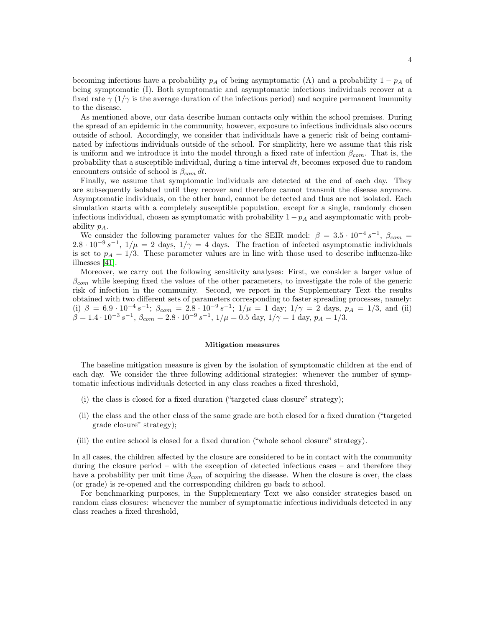becoming infectious have a probability  $p_A$  of being asymptomatic (A) and a probability  $1 - p_A$  of being symptomatic (I). Both symptomatic and asymptomatic infectious individuals recover at a fixed rate  $\gamma$  (1/ $\gamma$  is the average duration of the infectious period) and acquire permanent immunity to the disease.

As mentioned above, our data describe human contacts only within the school premises. During the spread of an epidemic in the community, however, exposure to infectious individuals also occurs outside of school. Accordingly, we consider that individuals have a generic risk of being contaminated by infectious individuals outside of the school. For simplicity, here we assume that this risk is uniform and we introduce it into the model through a fixed rate of infection  $\beta_{com}$ . That is, the probability that a susceptible individual, during a time interval  $dt$ , becomes exposed due to random encounters outside of school is  $\beta_{com} dt$ .

Finally, we assume that symptomatic individuals are detected at the end of each day. They are subsequently isolated until they recover and therefore cannot transmit the disease anymore. Asymptomatic individuals, on the other hand, cannot be detected and thus are not isolated. Each simulation starts with a completely susceptible population, except for a single, randomly chosen infectious individual, chosen as symptomatic with probability  $1 - p_A$  and asymptomatic with probability  $p_A$ .

We consider the following parameter values for the SEIR model:  $\beta = 3.5 \cdot 10^{-4} s^{-1}$ ,  $\beta_{com}$  $2.8 \cdot 10^{-9} s^{-1}$ ,  $1/\mu = 2$  days,  $1/\gamma = 4$  days. The fraction of infected asymptomatic individuals is set to  $p_A = 1/3$ . These parameter values are in line with those used to describe influenza-like illnesses [\[41\]](#page-13-10).

Moreover, we carry out the following sensitivity analyses: First, we consider a larger value of  $\beta_{com}$  while keeping fixed the values of the other parameters, to investigate the role of the generic risk of infection in the community. Second, we report in the Supplementary Text the results obtained with two different sets of parameters corresponding to faster spreading processes, namely: (i)  $\beta = 6.9 \cdot 10^{-4} s^{-1}$ ;  $\beta_{com} = 2.8 \cdot 10^{-9} s^{-1}$ ;  $1/\mu = 1$  day;  $1/\gamma = 2$  days,  $p_A = 1/3$ , and (ii)  $\beta = 1.4 \cdot 10^{-3} s^{-1}, \ \beta_{com} = 2.8 \cdot 10^{-9} s^{-1}, \ 1/\mu = 0.5$  day,  $1/\gamma = 1$  day,  $p_A = 1/3$ .

#### Mitigation measures

The baseline mitigation measure is given by the isolation of symptomatic children at the end of each day. We consider the three following additional strategies: whenever the number of symptomatic infectious individuals detected in any class reaches a fixed threshold,

- (i) the class is closed for a fixed duration ("targeted class closure" strategy);
- (ii) the class and the other class of the same grade are both closed for a fixed duration ("targeted grade closure" strategy);
- (iii) the entire school is closed for a fixed duration ("whole school closure" strategy).

In all cases, the children affected by the closure are considered to be in contact with the community during the closure period – with the exception of detected infectious cases – and therefore they have a probability per unit time  $\beta_{com}$  of acquiring the disease. When the closure is over, the class (or grade) is re-opened and the corresponding children go back to school.

For benchmarking purposes, in the Supplementary Text we also consider strategies based on random class closures: whenever the number of symptomatic infectious individuals detected in any class reaches a fixed threshold,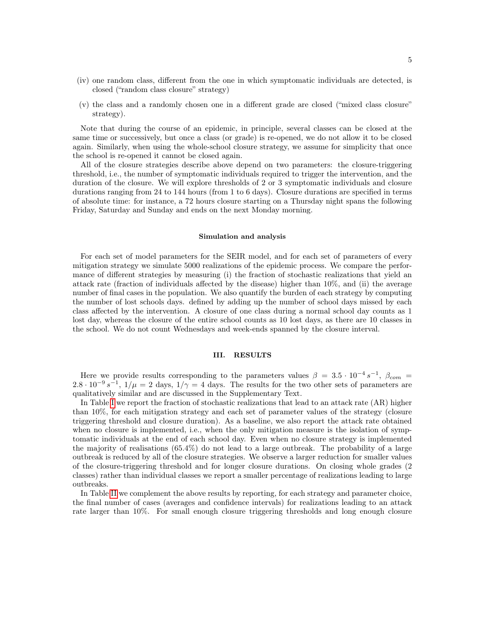- (iv) one random class, different from the one in which symptomatic individuals are detected, is closed ("random class closure" strategy)
- (v) the class and a randomly chosen one in a different grade are closed ("mixed class closure" strategy).

Note that during the course of an epidemic, in principle, several classes can be closed at the same time or successively, but once a class (or grade) is re-opened, we do not allow it to be closed again. Similarly, when using the whole-school closure strategy, we assume for simplicity that once the school is re-opened it cannot be closed again.

All of the closure strategies describe above depend on two parameters: the closure-triggering threshold, i.e., the number of symptomatic individuals required to trigger the intervention, and the duration of the closure. We will explore thresholds of 2 or 3 symptomatic individuals and closure durations ranging from 24 to 144 hours (from 1 to 6 days). Closure durations are specified in terms of absolute time: for instance, a 72 hours closure starting on a Thursday night spans the following Friday, Saturday and Sunday and ends on the next Monday morning.

#### Simulation and analysis

For each set of model parameters for the SEIR model, and for each set of parameters of every mitigation strategy we simulate 5000 realizations of the epidemic process. We compare the performance of different strategies by measuring (i) the fraction of stochastic realizations that yield an attack rate (fraction of individuals affected by the disease) higher than 10%, and (ii) the average number of final cases in the population. We also quantify the burden of each strategy by computing the number of lost schools days. defined by adding up the number of school days missed by each class affected by the intervention. A closure of one class during a normal school day counts as 1 lost day, whereas the closure of the entire school counts as 10 lost days, as there are 10 classes in the school. We do not count Wednesdays and week-ends spanned by the closure interval.

# III. RESULTS

Here we provide results corresponding to the parameters values  $\beta = 3.5 \cdot 10^{-4} s^{-1}$ ,  $\beta_{com}$  $2.8 \cdot 10^{-9} s^{-1}$ ,  $1/\mu = 2$  days,  $1/\gamma = 4$  days. The results for the two other sets of parameters are qualitatively similar and are discussed in the Supplementary Text.

In Table [I](#page-5-0) we report the fraction of stochastic realizations that lead to an attack rate (AR) higher than 10%, for each mitigation strategy and each set of parameter values of the strategy (closure triggering threshold and closure duration). As a baseline, we also report the attack rate obtained when no closure is implemented, i.e., when the only mitigation measure is the isolation of symptomatic individuals at the end of each school day. Even when no closure strategy is implemented the majority of realisations (65.4%) do not lead to a large outbreak. The probability of a large outbreak is reduced by all of the closure strategies. We observe a larger reduction for smaller values of the closure-triggering threshold and for longer closure durations. On closing whole grades (2 classes) rather than individual classes we report a smaller percentage of realizations leading to large outbreaks.

In Table [II](#page-6-0) we complement the above results by reporting, for each strategy and parameter choice, the final number of cases (averages and confidence intervals) for realizations leading to an attack rate larger than 10%. For small enough closure triggering thresholds and long enough closure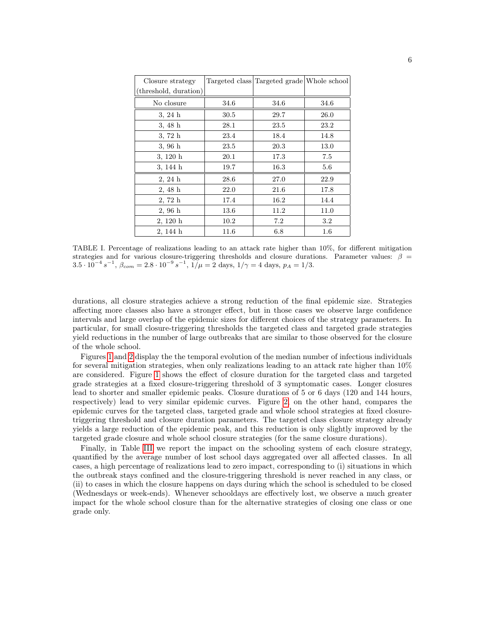| Closure strategy      |      | Targeted class Targeted grade Whole school |         |
|-----------------------|------|--------------------------------------------|---------|
| (threshold, duration) |      |                                            |         |
| No closure            | 34.6 | 34.6                                       | 34.6    |
| 3, 24h                | 30.5 | 29.7                                       | 26.0    |
| 3,48h                 | 28.1 | 23.5                                       | 23.2    |
| 3, 72h                | 23.4 | 18.4                                       | 14.8    |
| 3,96h                 | 23.5 | 20.3                                       | 13.0    |
| 3, 120h               | 20.1 | 17.3                                       | 7.5     |
| 3, 144 h              | 19.7 | 16.3                                       | $5.6\,$ |
| 2, 24h                | 28.6 | 27.0                                       | 22.9    |
| 2,48h                 | 22.0 | 21.6                                       | 17.8    |
| 2, 72h                | 17.4 | 16.2                                       | 14.4    |
| 2,96h                 | 13.6 | 11.2                                       | 11.0    |
| 2, 120h               | 10.2 | 7.2                                        | 3.2     |
| 2, 144 h              | 11.6 | 6.8                                        | $1.6\,$ |

<span id="page-5-0"></span>TABLE I. Percentage of realizations leading to an attack rate higher than 10%, for different mitigation strategies and for various closure-triggering thresholds and closure durations. Parameter values:  $\beta =$  $3.5 \cdot 10^{-4} s^{-1}$ ,  $\beta_{com} = 2.8 \cdot 10^{-9} s^{-1}$ ,  $1/\mu = 2$  days,  $1/\gamma = 4$  days,  $p_A = 1/3$ .

durations, all closure strategies achieve a strong reduction of the final epidemic size. Strategies affecting more classes also have a stronger effect, but in those cases we observe large confidence intervals and large overlap of the epidemic sizes for different choices of the strategy parameters. In particular, for small closure-triggering thresholds the targeted class and targeted grade strategies yield reductions in the number of large outbreaks that are similar to those observed for the closure of the whole school.

Figures [1](#page-6-1) and [2](#page-7-0) display the the temporal evolution of the median number of infectious individuals for several mitigation strategies, when only realizations leading to an attack rate higher than 10% are considered. Figure [1](#page-6-1) shows the effect of closure duration for the targeted class and targeted grade strategies at a fixed closure-triggering threshold of 3 symptomatic cases. Longer closures lead to shorter and smaller epidemic peaks. Closure durations of 5 or 6 days (120 and 144 hours, respectively) lead to very similar epidemic curves. Figure [2,](#page-7-0) on the other hand, compares the epidemic curves for the targeted class, targeted grade and whole school strategies at fixed closuretriggering threshold and closure duration parameters. The targeted class closure strategy already yields a large reduction of the epidemic peak, and this reduction is only slightly improved by the targeted grade closure and whole school closure strategies (for the same closure durations).

Finally, in Table [III](#page-8-0) we report the impact on the schooling system of each closure strategy, quantified by the average number of lost school days aggregated over all affected classes. In all cases, a high percentage of realizations lead to zero impact, corresponding to (i) situations in which the outbreak stays confined and the closure-triggering threshold is never reached in any class, or (ii) to cases in which the closure happens on days during which the school is scheduled to be closed (Wednesdays or week-ends). Whenever schooldays are effectively lost, we observe a much greater impact for the whole school closure than for the alternative strategies of closing one class or one grade only.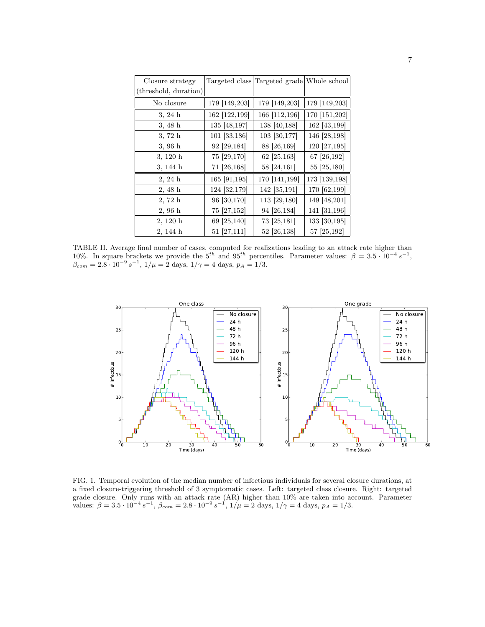| Closure strategy      |               | Targeted class Targeted grade Whole school |               |
|-----------------------|---------------|--------------------------------------------|---------------|
| (threshold, duration) |               |                                            |               |
| No closure            | 179 [149,203] | 179 [149,203]                              | 179 [149,203] |
| 3, 24h                | 162 [122,199] | 166 [112,196]                              | 170 [151,202] |
| 3,48h                 | 135 [48,197]  | 138 [40,188]                               | 162 [43,199]  |
| 3, 72h                | 101 [33,186]  | 103 [30,177]                               | 146 [28,198]  |
| 3,96h                 | 92 [29,184]   | 88 [26,169]                                | 120 [27,195]  |
| 3, 120 h              | 75 [29,170]   | 62 [25,163]                                | 67 [26,192]   |
| 3, 144 h              | 71 [26,168]   | 58 [24,161]                                | 55 [25,180]   |
| 2, 24h                | 165 [91,195]  | 170 [141,199]                              | 173 [139,198] |
| 2,48h                 | 124 [32,179]  | 142 [35,191]                               | 170 [62,199]  |
| 2, 72h                | 96 [30,170]   | 113 [29,180]                               | 149 [48,201]  |
| 2,96h                 | 75 [27,152]   | 94 [26,184]                                | 141 [31,196]  |
| 2, 120h               | 69 [25,140]   | 73 [25,181]                                | 133 [30,195]  |
| 2, 144 h              | 51 [27,111]   | 52 [26,138]                                | 57 [25,192]   |

<span id="page-6-0"></span>TABLE II. Average final number of cases, computed for realizations leading to an attack rate higher than 10%. In square brackets we provide the  $5^{th}$  and  $95^{th}$  percentiles. Parameter values:  $\beta = 3.5 \cdot 10^{-4} s^{-1}$ ,  $\beta_{com} = 2.8 \cdot 10^{-9} s^{-1}$ ,  $1/\mu = 2$  days,  $1/\gamma = 4$  days,  $p_A = 1/3$ .



<span id="page-6-1"></span>FIG. 1. Temporal evolution of the median number of infectious individuals for several closure durations, at a fixed closure-triggering threshold of 3 symptomatic cases. Left: targeted class closure. Right: targeted grade closure. Only runs with an attack rate (AR) higher than 10% are taken into account. Parameter values:  $\beta = 3.5 \cdot 10^{-4} s^{-1}$ ,  $\beta_{com} = 2.8 \cdot 10^{-9} s^{-1}$ ,  $1/\mu = 2$  days,  $1/\gamma = 4$  days,  $p_A = 1/3$ .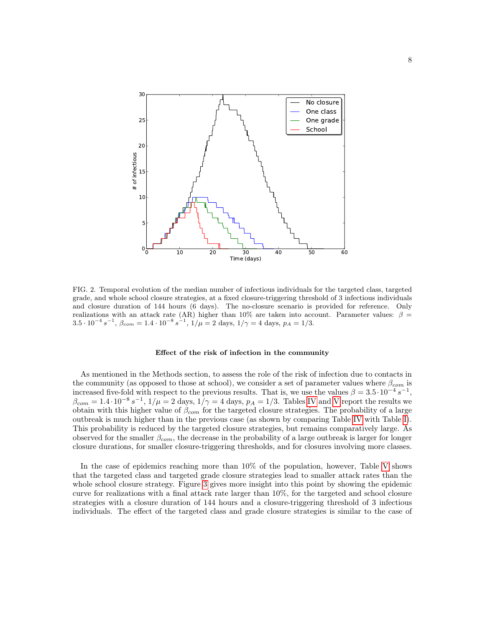

<span id="page-7-0"></span>FIG. 2. Temporal evolution of the median number of infectious individuals for the targeted class, targeted grade, and whole school closure strategies, at a fixed closure-triggering threshold of 3 infectious individuals and closure duration of 144 hours (6 days). The no-closure scenario is provided for reference. Only realizations with an attack rate (AR) higher than 10% are taken into account. Parameter values:  $\beta =$  $3.5 \cdot 10^{-4} s^{-1}$ ,  $\beta_{com} = 1.4 \cdot 10^{-8} s^{-1}$ ,  $1/\mu = 2$  days,  $1/\gamma = 4$  days,  $p_A = 1/3$ .

#### Effect of the risk of infection in the community

As mentioned in the Methods section, to assess the role of the risk of infection due to contacts in the community (as opposed to those at school), we consider a set of parameter values where  $\beta_{com}$  is increased five-fold with respect to the previous results. That is, we use the values  $\beta = 3.5 \cdot 10^{-4} s^{-1}$ ,  $\beta_{com} = 1.4 \cdot 10^{-8} s^{-1}$ ,  $1/\mu = 2$  days,  $1/\gamma = 4$  days,  $p_A = 1/3$ . Tables [IV](#page-8-1) and [V](#page-9-0) report the results we obtain with this higher value of  $\beta_{com}$  for the targeted closure strategies. The probability of a large outbreak is much higher than in the previous case (as shown by comparing Table [IV](#page-8-1) with Table [I\)](#page-5-0). This probability is reduced by the targeted closure strategies, but remains comparatively large. As observed for the smaller  $\beta_{com}$ , the decrease in the probability of a large outbreak is larger for longer closure durations, for smaller closure-triggering thresholds, and for closures involving more classes.

In the case of epidemics reaching more than 10% of the population, however, Table [V](#page-9-0) shows that the targeted class and targeted grade closure strategies lead to smaller attack rates than the whole school closure strategy. Figure [3](#page-10-0) gives more insight into this point by showing the epidemic curve for realizations with a final attack rate larger than 10%, for the targeted and school closure strategies with a closure duration of 144 hours and a closure-triggering threshold of 3 infectious individuals. The effect of the targeted class and grade closure strategies is similar to the case of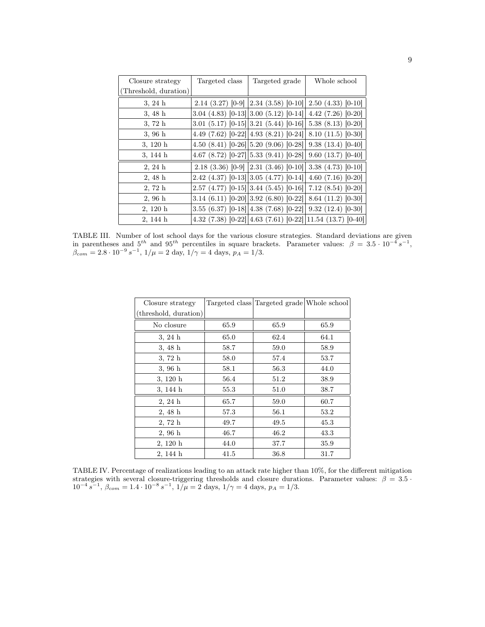| Closure strategy      | Targeted class | Targeted grade                                 | Whole school                                                    |
|-----------------------|----------------|------------------------------------------------|-----------------------------------------------------------------|
| (Threshold, duration) |                |                                                |                                                                 |
| 3, 24 h               |                | $2.14$ (3.27) [0-9] $\vert 2.34$ (3.58) [0-10] | $2.50(4.33)[0-10]$                                              |
| 3,48h                 |                | 3.04 (4.83) $[0-13]$ 3.00 (5.12) $[0-14]$      | 4.42 $(7.26)$ [0-20]                                            |
| 3,72 h                |                | 3.01 (5.17) [0-15] $ 3.21 \t(5.44)$ [0-16]     | $5.38(8.13)[0-20]$                                              |
| 3,96h                 |                | 4.49 (7.62) $[0-22]$ 4.93 (8.21) $[0-24]$      | $8.10(11.5)[0-30]$                                              |
| 3, 120 h              |                | 4.50 (8.41) $[0-26]$ 5.20 (9.06) [0-28]        | $9.38(13.4)[0-40]$                                              |
| 3, 144 h              |                | 4.67 (8.72) $[0-27]$ [5.33 (9.41) [0-28]       | $9.60(13.7)[0-40]$                                              |
| 2, 24h                |                | $2.18$ (3.36) [0-9] $\vert 2.31$ (3.46) [0-10] | $3.38(4.73)[0-10]$                                              |
| 2,48h                 |                | $2.42$ (4.37) [0-13] 3.05 (4.77) [0-14]        | $4.60(7.16)[0-20]$                                              |
| 2, 72h                |                | $2.57$ (4.77) [0-15] 3.44 (5.45) [0-16]        | $7.12(8.54)[0-20]$                                              |
| 2,96h                 |                | 3.14 (6.11) $[0-20]$ 3.92 (6.80) $[0-22]$      | $8.64(11.2)[0-30]$                                              |
| 2, 120 h              |                | 3.55 (6.37) $[0-18]$ 4.38 (7.68) $[0-22]$      | $9.32(12.4)[0-30]$                                              |
| 2, 144 h              |                |                                                | 4.32 (7.38) $[0-22]$ 4.63 (7.61) $[0-22]$ 11.54 (13.7) $[0-40]$ |

<span id="page-8-0"></span>TABLE III. Number of lost school days for the various closure strategies. Standard deviations are given in parentheses and  $5^{th}$  and  $95^{th}$  percentiles in square brackets. Parameter values:  $\beta = 3.5 \cdot 10^{-4} s^{-1}$ ,  $\beta_{com} = 2.8 \cdot 10^{-9} s^{-1}$ ,  $1/\mu = 2$  day,  $1/\gamma = 4$  days,  $p_A = 1/3$ .

| Closure strategy      |      | Targeted class Targeted grade Whole school |      |
|-----------------------|------|--------------------------------------------|------|
| (threshold, duration) |      |                                            |      |
| No closure            | 65.9 | 65.9                                       | 65.9 |
| 3, 24 h               | 65.0 | 62.4                                       | 64.1 |
| 3, 48 h               | 58.7 | 59.0                                       | 58.9 |
| 3, 72 h               | 58.0 | 57.4                                       | 53.7 |
| 3,96h                 | 58.1 | 56.3                                       | 44.0 |
| 3, 120 h              | 56.4 | 51.2                                       | 38.9 |
| 3, 144 h              | 55.3 | 51.0                                       | 38.7 |
| 2, 24 h               | 65.7 | 59.0                                       | 60.7 |
| 2,48h                 | 57.3 | 56.1                                       | 53.2 |
| 2, 72h                | 49.7 | 49.5                                       | 45.3 |
| 2,96h                 | 46.7 | 46.2                                       | 43.3 |
| 2, 120 h              | 44.0 | 37.7                                       | 35.9 |
| 2, 144 h              | 41.5 | 36.8                                       | 31.7 |

<span id="page-8-1"></span>TABLE IV. Percentage of realizations leading to an attack rate higher than 10%, for the different mitigation strategies with several closure-triggering thresholds and closure durations. Parameter values:  $\beta = 3.5$  $10^{-4} s^{-1}$ ,  $\beta_{com} = 1.4 \cdot 10^{-8} s^{-1}$ ,  $1/\mu = 2$  days,  $1/\gamma = 4$  days,  $p_A = 1/3$ .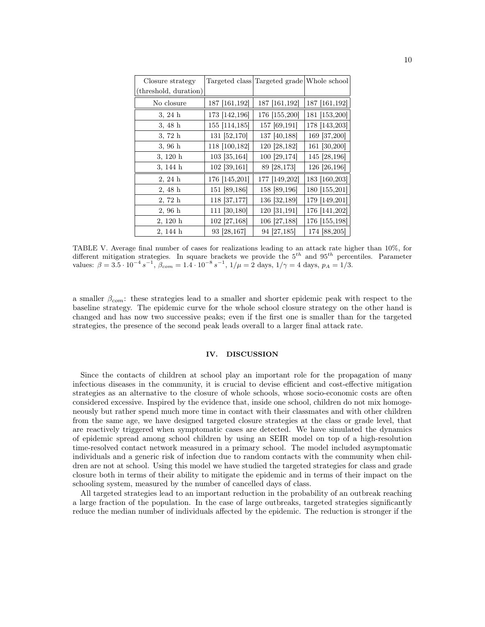| Closure strategy      |               | Targeted class Targeted grade Whole school |               |
|-----------------------|---------------|--------------------------------------------|---------------|
| (threshold, duration) |               |                                            |               |
| No closure            | 187 [161,192] | 187 [161,192]                              | 187 [161,192] |
| 3, 24h                | 173 [142,196] | 176 [155,200]                              | 181 [153,200] |
| 3,48h                 | 155 [114,185] | 157 [69,191]                               | 178 [143,203] |
| 3, 72h                | 131 [52,170]  | 137 [40,188]                               | 169 [37,200]  |
| 3,96h                 | 118 [100,182] | 120 [28,182]                               | 161 [30,200]  |
| 3, 120h               | 103 [35,164]  | 100 [29,174]                               | 145 [28,196]  |
| 3, 144 h              | 102 [39,161]  | 89 [28,173]                                | 126 [26,196]  |
| 2, 24h                | 176 [145,201] | 177 [149,202]                              | 183 [160,203] |
| 2,48h                 | 151 [89,186]  | 158 [89,196]                               | 180 [155,201] |
| 2, 72h                | 118 [37,177]  | 136 [32,189]                               | 179 [149,201] |
| 2,96h                 | 111 [30,180]  | 120 [31,191]                               | 176 [141,202] |
| $2, 120$ h            | 102 [27,168]  | 106 [27,188]                               | 176 [155,198] |
| 2, 144 h              | 93 [28,167]   | 94 [27,185]                                | 174 [88,205]  |

<span id="page-9-0"></span>TABLE V. Average final number of cases for realizations leading to an attack rate higher than 10%, for different mitigation strategies. In square brackets we provide the  $5^{th}$  and  $95^{th}$  percentiles. Parameter values:  $\beta = 3.5 \cdot 10^{-4} s^{-1}$ ,  $\beta_{com} = 1.4 \cdot 10^{-8} s^{-1}$ ,  $1/\mu = 2$  days,  $1/\gamma = 4$  days,  $p_A = 1/3$ .

a smaller  $\beta_{com}$ : these strategies lead to a smaller and shorter epidemic peak with respect to the baseline strategy. The epidemic curve for the whole school closure strategy on the other hand is changed and has now two successive peaks; even if the first one is smaller than for the targeted strategies, the presence of the second peak leads overall to a larger final attack rate.

# IV. DISCUSSION

Since the contacts of children at school play an important role for the propagation of many infectious diseases in the community, it is crucial to devise efficient and cost-effective mitigation strategies as an alternative to the closure of whole schools, whose socio-economic costs are often considered excessive. Inspired by the evidence that, inside one school, children do not mix homogeneously but rather spend much more time in contact with their classmates and with other children from the same age, we have designed targeted closure strategies at the class or grade level, that are reactively triggered when symptomatic cases are detected. We have simulated the dynamics of epidemic spread among school children by using an SEIR model on top of a high-resolution time-resolved contact network measured in a primary school. The model included asymptomatic individuals and a generic risk of infection due to random contacts with the community when children are not at school. Using this model we have studied the targeted strategies for class and grade closure both in terms of their ability to mitigate the epidemic and in terms of their impact on the schooling system, measured by the number of cancelled days of class.

All targeted strategies lead to an important reduction in the probability of an outbreak reaching a large fraction of the population. In the case of large outbreaks, targeted strategies significantly reduce the median number of individuals affected by the epidemic. The reduction is stronger if the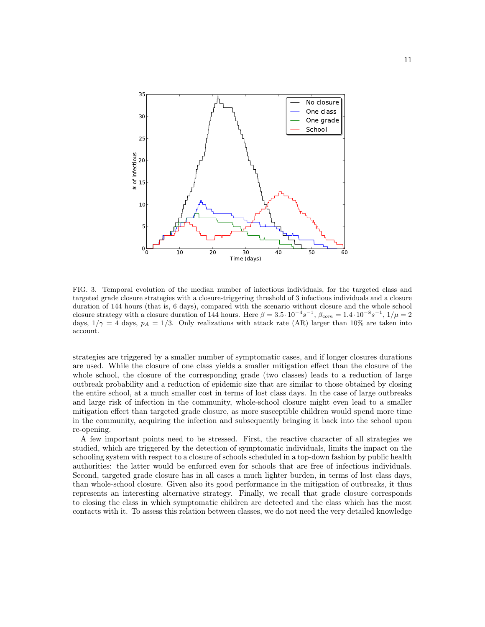

<span id="page-10-0"></span>FIG. 3. Temporal evolution of the median number of infectious individuals, for the targeted class and targeted grade closure strategies with a closure-triggering threshold of 3 infectious individuals and a closure duration of 144 hours (that is, 6 days), compared with the scenario without closure and the whole school closure strategy with a closure duration of 144 hours. Here  $\beta = 3.5 \cdot 10^{-4} s^{-1}$ ,  $\beta_{com} = 1.4 \cdot 10^{-8} s^{-1}$ ,  $1/\mu = 2$ days,  $1/\gamma = 4$  days,  $p_A = 1/3$ . Only realizations with attack rate (AR) larger than 10% are taken into account.

strategies are triggered by a smaller number of symptomatic cases, and if longer closures durations are used. While the closure of one class yields a smaller mitigation effect than the closure of the whole school, the closure of the corresponding grade (two classes) leads to a reduction of large outbreak probability and a reduction of epidemic size that are similar to those obtained by closing the entire school, at a much smaller cost in terms of lost class days. In the case of large outbreaks and large risk of infection in the community, whole-school closure might even lead to a smaller mitigation effect than targeted grade closure, as more susceptible children would spend more time in the community, acquiring the infection and subsequently bringing it back into the school upon re-opening.

A few important points need to be stressed. First, the reactive character of all strategies we studied, which are triggered by the detection of symptomatic individuals, limits the impact on the schooling system with respect to a closure of schools scheduled in a top-down fashion by public health authorities: the latter would be enforced even for schools that are free of infectious individuals. Second, targeted grade closure has in all cases a much lighter burden, in terms of lost class days, than whole-school closure. Given also its good performance in the mitigation of outbreaks, it thus represents an interesting alternative strategy. Finally, we recall that grade closure corresponds to closing the class in which symptomatic children are detected and the class which has the most contacts with it. To assess this relation between classes, we do not need the very detailed knowledge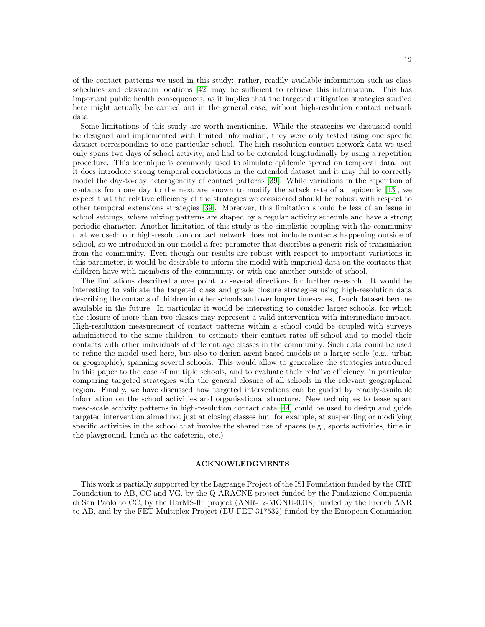of the contact patterns we used in this study: rather, readily available information such as class schedules and classroom locations [\[42\]](#page-13-11) may be sufficient to retrieve this information. This has important public health consequences, as it implies that the targeted mitigation strategies studied here might actually be carried out in the general case, without high-resolution contact network data.

Some limitations of this study are worth mentioning. While the strategies we discussed could be designed and implemented with limited information, they were only tested using one specific dataset corresponding to one particular school. The high-resolution contact network data we used only spans two days of school activity, and had to be extended longitudinally by using a repetition procedure. This technique is commonly used to simulate epidemic spread on temporal data, but it does introduce strong temporal correlations in the extended dataset and it may fail to correctly model the day-to-day heterogeneity of contact patterns [\[39\]](#page-13-8). While variations in the repetition of contacts from one day to the next are known to modify the attack rate of an epidemic [\[43\]](#page-13-12), we expect that the relative efficiency of the strategies we considered should be robust with respect to other temporal extensions strategies [\[39\]](#page-13-8). Moreover, this limitation should be less of an issue in school settings, where mixing patterns are shaped by a regular activity schedule and have a strong periodic character. Another limitation of this study is the simplistic coupling with the community that we used: our high-resolution contact network does not include contacts happening outside of school, so we introduced in our model a free parameter that describes a generic risk of transmission from the community. Even though our results are robust with respect to important variations in this parameter, it would be desirable to inform the model with empirical data on the contacts that children have with members of the community, or with one another outside of school.

The limitations described above point to several directions for further research. It would be interesting to validate the targeted class and grade closure strategies using high-resolution data describing the contacts of children in other schools and over longer timescales, if such dataset become available in the future. In particular it would be interesting to consider larger schools, for which the closure of more than two classes may represent a valid intervention with intermediate impact. High-resolution measurement of contact patterns within a school could be coupled with surveys administered to the same children, to estimate their contact rates off-school and to model their contacts with other individuals of different age classes in the community. Such data could be used to refine the model used here, but also to design agent-based models at a larger scale (e.g., urban or geographic), spanning several schools. This would allow to generalize the strategies introduced in this paper to the case of multiple schools, and to evaluate their relative efficiency, in particular comparing targeted strategies with the general closure of all schools in the relevant geographical region. Finally, we have discussed how targeted interventions can be guided by readily-available information on the school activities and organisational structure. New techniques to tease apart meso-scale activity patterns in high-resolution contact data [\[44\]](#page-13-13) could be used to design and guide targeted intervention aimed not just at closing classes but, for example, at suspending or modifying specific activities in the school that involve the shared use of spaces (e.g., sports activities, time in the playground, lunch at the cafeteria, etc.)

#### ACKNOWLEDGMENTS

This work is partially supported by the Lagrange Project of the ISI Foundation funded by the CRT Foundation to AB, CC and VG, by the Q-ARACNE project funded by the Fondazione Compagnia di San Paolo to CC, by the HarMS-flu project (ANR-12-MONU-0018) funded by the French ANR to AB, and by the FET Multiplex Project (EU-FET-317532) funded by the European Commission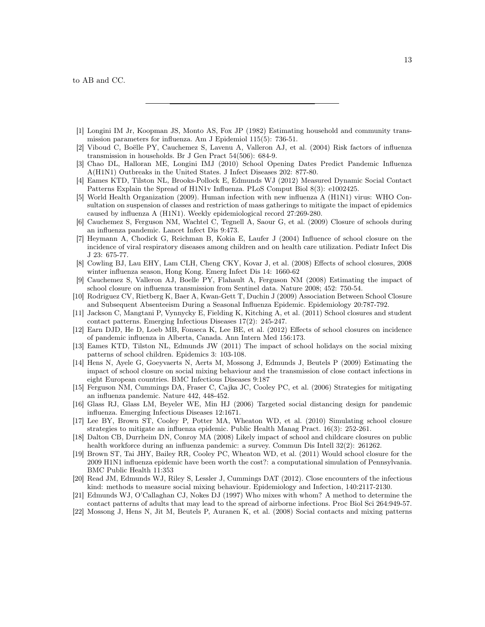- <span id="page-12-0"></span>[1] Longini IM Jr, Koopman JS, Monto AS, Fox JP (1982) Estimating household and community transmission parameters for influenza. Am J Epidemiol 115(5): 736-51.
- <span id="page-12-1"></span>[2] Viboud C, Boëlle PY, Cauchemez S, Lavenu A, Valleron AJ, et al. (2004) Risk factors of influenza transmission in households. Br J Gen Pract 54(506): 684-9.
- <span id="page-12-2"></span>[3] Chao DL, Halloran ME, Longini IMJ (2010) School Opening Dates Predict Pandemic Influenza A(H1N1) Outbreaks in the United States. J Infect Diseases 202: 877-80.
- <span id="page-12-3"></span>[4] Eames KTD, Tilston NL, Brooks-Pollock E, Edmunds WJ (2012) Measured Dynamic Social Contact Patterns Explain the Spread of H1N1v Influenza. PLoS Comput Biol 8(3): e1002425.
- <span id="page-12-4"></span>[5] World Health Organization (2009). Human infection with new influenza A (H1N1) virus: WHO Consultation on suspension of classes and restriction of mass gatherings to mitigate the impact of epidemics caused by influenza A (H1N1). Weekly epidemiological record 27:269-280.
- <span id="page-12-5"></span>[6] Cauchemez S, Ferguson NM, Wachtel C, Tegnell A, Saour G, et al. (2009) Closure of schools during an influenza pandemic. Lancet Infect Dis 9:473.
- <span id="page-12-6"></span>[7] Heymann A, Chodick G, Reichman B, Kokia E, Laufer J (2004) Influence of school closure on the incidence of viral respiratory diseases among children and on health care utilization. Pediatr Infect Dis J 23: 675-77.
- [8] Cowling BJ, Lau EHY, Lam CLH, Cheng CKY, Kovar J, et al. (2008) Effects of school closures, 2008 winter influenza season, Hong Kong. Emerg Infect Dis 14: 1660-62
- <span id="page-12-10"></span>[9] Cauchemez S, Valleron AJ, Boelle PY, Flahault A, Ferguson NM (2008) Estimating the impact of school closure on influenza transmission from Sentinel data. Nature 2008; 452: 750-54.
- [10] Rodriguez CV, Rietberg K, Baer A, Kwan-Gett T, Duchin J (2009) Association Between School Closure and Subsequent Absenteeism During a Seasonal Influenza Epidemic. Epidemiology 20:787-792.
- [11] Jackson C, Mangtani P, Vynnycky E, Fielding K, Kitching A, et al. (2011) School closures and student contact patterns. Emerging Infectious Diseases 17(2): 245-247.
- <span id="page-12-7"></span>[12] Earn DJD, He D, Loeb MB, Fonseca K, Lee BE, et al. (2012) Effects of school closures on incidence of pandemic influenza in Alberta, Canada. Ann Intern Med 156:173.
- <span id="page-12-8"></span>[13] Eames KTD, Tilston NL, Edmunds JW (2011) The impact of school holidays on the social mixing patterns of school children. Epidemics 3: 103-108.
- <span id="page-12-9"></span>[14] Hens N, Ayele G, Goeyvaerts N, Aerts M, Mossong J, Edmunds J, Beutels P (2009) Estimating the impact of school closure on social mixing behaviour and the transmission of close contact infections in eight European countries. BMC Infectious Diseases 9:187
- <span id="page-12-11"></span>[15] Ferguson NM, Cummings DA, Fraser C, Cajka JC, Cooley PC, et al. (2006) Strategies for mitigating an influenza pandemic. Nature 442, 448-452.
- [16] Glass RJ, Glass LM, Beyeler WE, Min HJ (2006) Targeted social distancing design for pandemic influenza. Emerging Infectious Diseases 12:1671.
- <span id="page-12-12"></span>[17] Lee BY, Brown ST, Cooley P, Potter MA, Wheaton WD, et al. (2010) Simulating school closure strategies to mitigate an influenza epidemic. Public Health Manag Pract. 16(3): 252-261.
- <span id="page-12-13"></span>[18] Dalton CB, Durrheim DN, Conroy MA (2008) Likely impact of school and childcare closures on public health workforce during an influenza pandemic: a survey. Commun Dis Intell 32(2): 261262.
- <span id="page-12-14"></span>[19] Brown ST, Tai JHY, Bailey RR, Cooley PC, Wheaton WD, et al. (2011) Would school closure for the 2009 H1N1 influenza epidemic have been worth the cost?: a computational simulation of Pennsylvania. BMC Public Health 11:353
- <span id="page-12-15"></span>[20] Read JM, Edmunds WJ, Riley S, Lessler J, Cummings DAT (2012). Close encounters of the infectious kind: methods to measure social mixing behaviour. Epidemiology and Infection, 140:2117-2130.
- <span id="page-12-16"></span>[21] Edmunds WJ, O'Callaghan CJ, Nokes DJ (1997) Who mixes with whom? A method to determine the contact patterns of adults that may lead to the spread of airborne infections. Proc Biol Sci 264:949-57.
- [22] Mossong J, Hens N, Jit M, Beutels P, Auranen K, et al. (2008) Social contacts and mixing patterns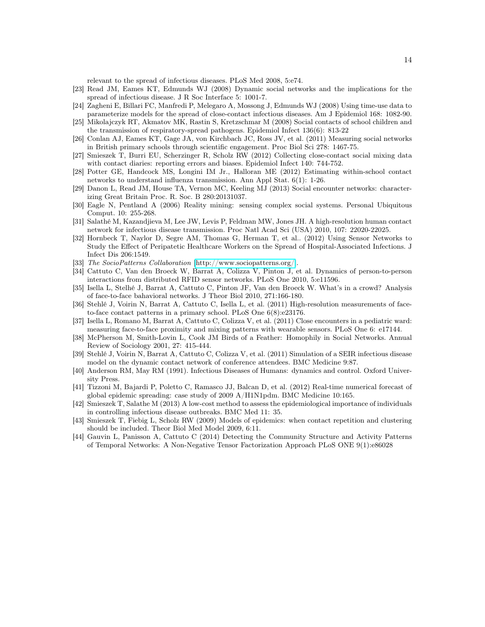relevant to the spread of infectious diseases. PLoS Med 2008, 5:e74.

- [23] Read JM, Eames KT, Edmunds WJ (2008) Dynamic social networks and the implications for the spread of infectious disease. J R Soc Interface 5: 1001-7.
- [24] Zagheni E, Billari FC, Manfredi P, Melegaro A, Mossong J, Edmunds WJ (2008) Using time-use data to parameterize models for the spread of close-contact infectious diseases. Am J Epidemiol 168: 1082-90.
- [25] Mikolajczyk RT, Akmatov MK, Rastin S, Kretzschmar M (2008) Social contacts of school children and the transmission of respiratory-spread pathogens. Epidemiol Infect 136(6): 813-22
- [26] Conlan AJ, Eames KT, Gage JA, von Kirchbach JC, Ross JV, et al. (2011) Measuring social networks in British primary schools through scientific engagement. Proc Biol Sci 278: 1467-75.
- [27] Smieszek T, Burri EU, Scherzinger R, Scholz RW (2012) Collecting close-contact social mixing data with contact diaries: reporting errors and biases. Epidemiol Infect 140: 744-752.
- [28] Potter GE, Handcock MS, Longini IM Jr., Halloran ME (2012) Estimating within-school contact networks to understand influenza transmission. Ann Appl Stat. 6(1): 1-26.
- <span id="page-13-0"></span>[29] Danon L, Read JM, House TA, Vernon MC, Keeling MJ (2013) Social encounter networks: characterizing Great Britain Proc. R. Soc. B 280:20131037.
- <span id="page-13-1"></span>[30] Eagle N, Pentland A (2006) Reality mining: sensing complex social systems. Personal Ubiquitous Comput. 10: 255-268.
- [31] Salathé M, Kazandjieva M, Lee JW, Levis P, Feldman MW, Jones JH. A high-resolution human contact network for infectious disease transmission. Proc Natl Acad Sci (USA) 2010, 107: 22020-22025.
- <span id="page-13-2"></span>[32] Hornbeck T, Naylor D, Segre AM, Thomas G, Herman T, et al.. (2012) Using Sensor Networks to Study the Effect of Peripatetic Healthcare Workers on the Spread of Hospital-Associated Infections. J Infect Dis 206:1549.
- <span id="page-13-3"></span>[33] The SocioPatterns Collaboration [\[http://www.sociopatterns.org/\]](http://www.sociopatterns.org/).
- <span id="page-13-7"></span>[34] Cattuto C, Van den Broeck W, Barrat A, Colizza V, Pinton J, et al. Dynamics of person-to-person interactions from distributed RFID sensor networks. PLoS One 2010, 5:e11596.
- [35] Isella L, Stelhé J, Barrat A, Cattuto C, Pinton JF, Van den Broeck W. What's in a crowd? Analysis of face-to-face bahavioral networks. J Theor Biol 2010, 271:166-180.
- <span id="page-13-5"></span>[36] Stehlé J, Voirin N, Barrat A, Cattuto C, Isella L, et al. (2011) High-resolution measurements of faceto-face contact patterns in a primary school. PLoS One 6(8):e23176.
- <span id="page-13-4"></span>[37] Isella L, Romano M, Barrat A, Cattuto C, Colizza V, et al. (2011) Close encounters in a pediatric ward: measuring face-to-face proximity and mixing patterns with wearable sensors. PLoS One 6: e17144.
- <span id="page-13-6"></span>[38] McPherson M, Smith-Lovin L, Cook JM Birds of a Feather: Homophily in Social Networks. Annual Review of Sociology 2001, 27: 415-444.
- <span id="page-13-8"></span>[39] Stehlé J, Voirin N, Barrat A, Cattuto C, Colizza V, et al. (2011) Simulation of a SEIR infectious disease model on the dynamic contact network of conference attendees. BMC Medicine 9:87.
- <span id="page-13-9"></span>[40] Anderson RM, May RM (1991). Infectious Diseases of Humans: dynamics and control. Oxford University Press.
- <span id="page-13-10"></span>[41] Tizzoni M, Bajardi P, Poletto C, Ramasco JJ, Balcan D, et al. (2012) Real-time numerical forecast of global epidemic spreading: case study of 2009 A/H1N1pdm. BMC Medicine 10:165.
- <span id="page-13-11"></span>[42] Smieszek T, Salathe M (2013) A low-cost method to assess the epidemiological importance of individuals in controlling infectious disease outbreaks. BMC Med 11: 35.
- <span id="page-13-12"></span>[43] Smieszek T, Fiebig L, Scholz RW (2009) Models of epidemics: when contact repetition and clustering should be included. Theor Biol Med Model 2009, 6:11.
- <span id="page-13-13"></span>[44] Gauvin L, Panisson A, Cattuto C (2014) Detecting the Community Structure and Activity Patterns of Temporal Networks: A Non-Negative Tensor Factorization Approach PLoS ONE 9(1):e86028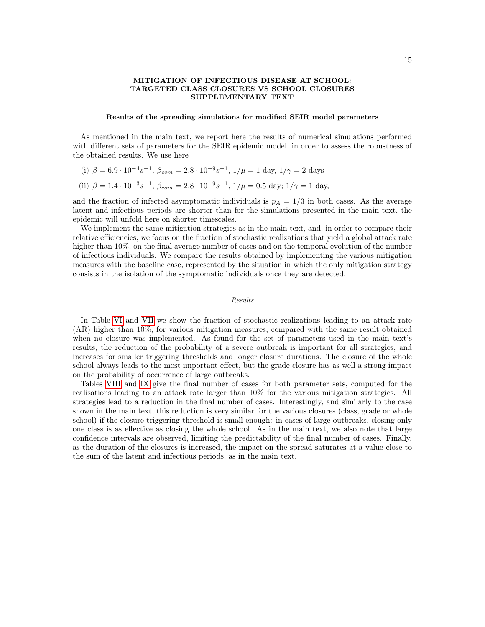# MITIGATION OF INFECTIOUS DISEASE AT SCHOOL: TARGETED CLASS CLOSURES VS SCHOOL CLOSURES SUPPLEMENTARY TEXT

# Results of the spreading simulations for modified SEIR model parameters

As mentioned in the main text, we report here the results of numerical simulations performed with different sets of parameters for the SEIR epidemic model, in order to assess the robustness of the obtained results. We use here

- (i)  $\beta = 6.9 \cdot 10^{-4} s^{-1}$ ,  $\beta_{com} = 2.8 \cdot 10^{-9} s^{-1}$ ,  $1/\mu = 1$  day,  $1/\gamma = 2$  days
- (ii)  $\beta = 1.4 \cdot 10^{-3} s^{-1}$ ,  $\beta_{com} = 2.8 \cdot 10^{-9} s^{-1}$ ,  $1/\mu = 0.5$  day;  $1/\gamma = 1$  day,

and the fraction of infected asymptomatic individuals is  $p_A = 1/3$  in both cases. As the average latent and infectious periods are shorter than for the simulations presented in the main text, the epidemic will unfold here on shorter timescales.

We implement the same mitigation strategies as in the main text, and, in order to compare their relative efficiencies, we focus on the fraction of stochastic realizations that yield a global attack rate higher than 10%, on the final average number of cases and on the temporal evolution of the number of infectious individuals. We compare the results obtained by implementing the various mitigation measures with the baseline case, represented by the situation in which the only mitigation strategy consists in the isolation of the symptomatic individuals once they are detected.

## Results

In Table [VI](#page-15-0) and [VII](#page-15-1) we show the fraction of stochastic realizations leading to an attack rate (AR) higher than 10%, for various mitigation measures, compared with the same result obtained when no closure was implemented. As found for the set of parameters used in the main text's results, the reduction of the probability of a severe outbreak is important for all strategies, and increases for smaller triggering thresholds and longer closure durations. The closure of the whole school always leads to the most important effect, but the grade closure has as well a strong impact on the probability of occurrence of large outbreaks.

Tables [VIII](#page-17-0) and [IX](#page-17-1) give the final number of cases for both parameter sets, computed for the realisations leading to an attack rate larger than 10% for the various mitigation strategies. All strategies lead to a reduction in the final number of cases. Interestingly, and similarly to the case shown in the main text, this reduction is very similar for the various closures (class, grade or whole school) if the closure triggering threshold is small enough: in cases of large outbreaks, closing only one class is as effective as closing the whole school. As in the main text, we also note that large confidence intervals are observed, limiting the predictability of the final number of cases. Finally, as the duration of the closures is increased, the impact on the spread saturates at a value close to the sum of the latent and infectious periods, as in the main text.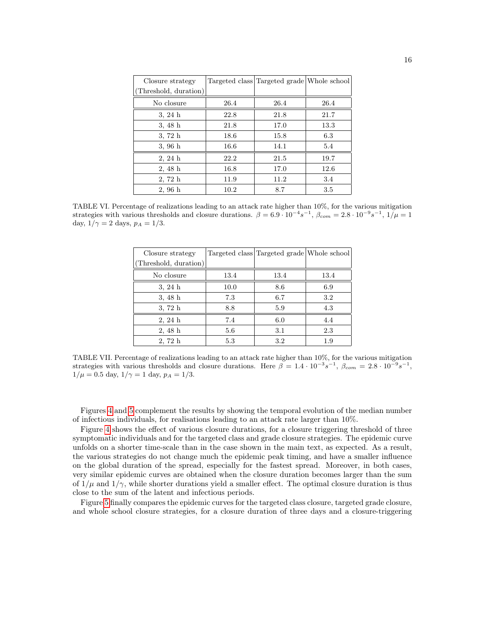| Closure strategy      |      | Targeted class Targeted grade Whole school |      |
|-----------------------|------|--------------------------------------------|------|
| (Threshold, duration) |      |                                            |      |
| No closure            | 26.4 | 26.4                                       | 26.4 |
| 3, 24h                | 22.8 | 21.8                                       | 21.7 |
| 3,48h                 | 21.8 | 17.0                                       | 13.3 |
| 3, 72h                | 18.6 | 15.8                                       | 6.3  |
| 3,96h                 | 16.6 | 14.1                                       | 5.4  |
| 2, 24h                | 22.2 | 21.5                                       | 19.7 |
| 2,48h                 | 16.8 | 17.0                                       | 12.6 |
| 2, 72h                | 11.9 | 11.2                                       | 3.4  |
| 2,96h                 | 10.2 | 8.7                                        | 3.5  |

<span id="page-15-0"></span>TABLE VI. Percentage of realizations leading to an attack rate higher than 10%, for the various mitigation strategies with various thresholds and closure durations.  $\beta = 6.9 \cdot 10^{-4} s^{-1}$ ,  $\beta_{com} = 2.8 \cdot 10^{-9} s^{-1}$ ,  $1/\mu = 1$ day,  $1/\gamma = 2$  days,  $p_A = 1/3$ .

| Closure strategy      |      | Targeted class Targeted grade Whole school |      |
|-----------------------|------|--------------------------------------------|------|
| (Threshold, duration) |      |                                            |      |
| No closure            | 13.4 | 13.4                                       | 13.4 |
| 3, 24h                | 10.0 | 8.6                                        | 6.9  |
| 3,48h                 | 7.3  | 6.7                                        | 3.2  |
| 3, 72 h               | 8.8  | 5.9                                        | 4.3  |
| 2, 24h                | 7.4  | 6.0                                        | 4.4  |
| 2,48h                 | 5.6  | 3.1                                        | 2.3  |
| 2, 72h                | 5.3  | 3.2                                        | 1.9  |

<span id="page-15-1"></span>TABLE VII. Percentage of realizations leading to an attack rate higher than 10%, for the various mitigation strategies with various thresholds and closure durations. Here  $\beta = 1.4 \cdot 10^{-3} s^{-1}$ ,  $\beta_{com} = 2.8 \cdot 10^{-9} s^{-1}$ ,  $1/\mu = 0.5$  day,  $1/\gamma = 1$  day,  $p_A = 1/3$ .

Figures [4](#page-16-0) and [5](#page-18-0) complement the results by showing the temporal evolution of the median number of infectious individuals, for realisations leading to an attack rate larger than 10%.

Figure [4](#page-16-0) shows the effect of various closure durations, for a closure triggering threshold of three symptomatic individuals and for the targeted class and grade closure strategies. The epidemic curve unfolds on a shorter time-scale than in the case shown in the main text, as expected. As a result, the various strategies do not change much the epidemic peak timing, and have a smaller influence on the global duration of the spread, especially for the fastest spread. Moreover, in both cases, very similar epidemic curves are obtained when the closure duration becomes larger than the sum of  $1/\mu$  and  $1/\gamma$ , while shorter durations yield a smaller effect. The optimal closure duration is thus close to the sum of the latent and infectious periods.

Figure [5](#page-18-0) finally compares the epidemic curves for the targeted class closure, targeted grade closure, and whole school closure strategies, for a closure duration of three days and a closure-triggering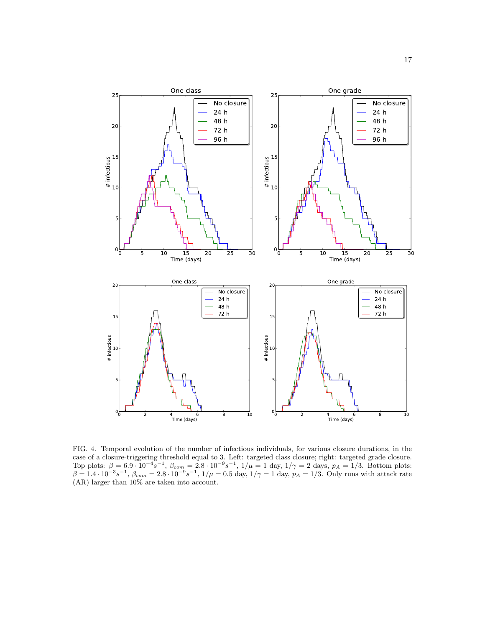

<span id="page-16-0"></span>FIG. 4. Temporal evolution of the number of infectious individuals, for various closure durations, in the case of a closure-triggering threshold equal to 3. Left: targeted class closure; right: targeted grade closure. Top plots:  $\beta = 6.9 \cdot 10^{-4} s^{-1}$ ,  $\beta_{com} = 2.8 \cdot 10^{-9} s^{-1}$ ,  $1/\mu = 1$  day,  $1/\gamma = 2$  days,  $p_A = 1/3$ . Bottom plots:  $\beta = 1.4 \cdot 10^{-3} s^{-1}$ ,  $\beta_{com} = 2.8 \cdot 10^{-9} s^{-1}$ ,  $1/\mu = 0.5$  day,  $1/\gamma = 1$  day,  $p_A = 1/3$ . Only runs with attack rate (AR) larger than 10% are taken into account.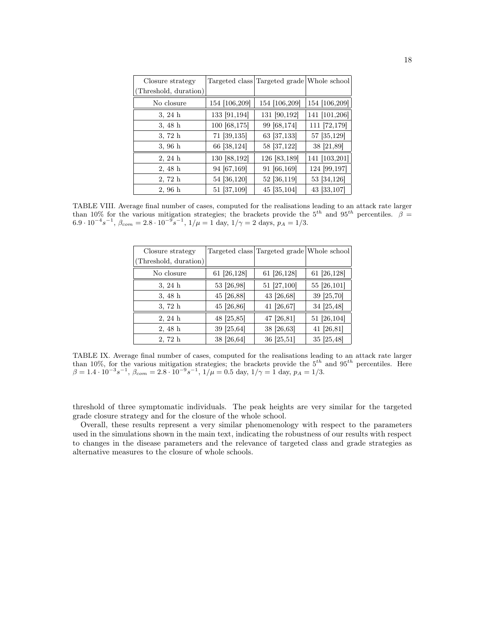| Closure strategy      |               | Targeted class Targeted grade Whole school |               |
|-----------------------|---------------|--------------------------------------------|---------------|
| (Threshold, duration) |               |                                            |               |
| No closure            | 154 [106,209] | 154 [106,209]                              | 154 [106,209] |
| 3, 24h                | 133 [91,194]  | 131 [90,192]                               | 141 [101,206] |
| 3,48h                 | 100 [68,175]  | 99 [68,174]                                | 111 [72,179]  |
| 3,72 h                | 71 [39,135]   | 63 [37,133]                                | 57 [35,129]   |
| 3,96h                 | 66 [38,124]   | 58 [37,122]                                | 38 [21,89]    |
| 2, 24h                | 130 [88,192]  | 126 [83,189]                               | 141 [103,201] |
| 2,48h                 | 94 [67,169]   | 91 [66,169]                                | 124 [99,197]  |
| 2, 72h                | 54 [36,120]   | 52 [36,119]                                | 53 [34,126]   |
| 2,96h                 | 51 [37,109]   | 45 [35,104]                                | 43 [33,107]   |

<span id="page-17-0"></span>TABLE VIII. Average final number of cases, computed for the realisations leading to an attack rate larger than 10% for the various mitigation strategies; the brackets provide the  $5^{th}$  and  $95^{th}$  percentiles.  $\beta =$  $6.9 \cdot 10^{-4} s^{-1}$ ,  $\beta_{com} = 2.8 \cdot 10^{-9} s^{-1}$ ,  $1/\mu = 1$  day,  $1/\gamma = 2$  days,  $p_A = 1/3$ .

| Closure strategy      |             | Targeted class Targeted grade Whole school |             |
|-----------------------|-------------|--------------------------------------------|-------------|
| (Threshold, duration) |             |                                            |             |
| No closure            | 61 [26,128] | 61 [26,128]                                | 61 [26,128] |
| 3, 24h                | 53 [26,98]  | 51 [27,100]                                | 55 [26,101] |
| 3,48h                 | 45 [26,88]  | 43 [26,68]                                 | 39 [25,70]  |
| 3, 72h                | 45 [26,86]  | 41 [26,67]                                 | 34 [25,48]  |
| 2, 24h                | 48 [25,85]  | 47 [26,81]                                 | 51 [26,104] |
| 2,48h                 | 39 [25,64]  | 38 [26,63]                                 | 41 [26,81]  |
| 2,72h                 | 38 [26,64]  | $36$ [ $25,51$ ]                           | 35 [25,48]  |

<span id="page-17-1"></span>TABLE IX. Average final number of cases, computed for the realisations leading to an attack rate larger than 10%, for the various mitigation strategies; the brackets provide the  $5^{th}$  and  $95^{th}$  percentiles. Here  $\beta = 1.4 \cdot 10^{-3} s^{-1}$ ,  $\beta_{com} = 2.8 \cdot 10^{-9} s^{-1}$ ,  $1/\mu = 0.5$  day,  $1/\gamma = 1$  day,  $p_A = 1/3$ .

threshold of three symptomatic individuals. The peak heights are very similar for the targeted grade closure strategy and for the closure of the whole school.

Overall, these results represent a very similar phenomenology with respect to the parameters used in the simulations shown in the main text, indicating the robustness of our results with respect to changes in the disease parameters and the relevance of targeted class and grade strategies as alternative measures to the closure of whole schools.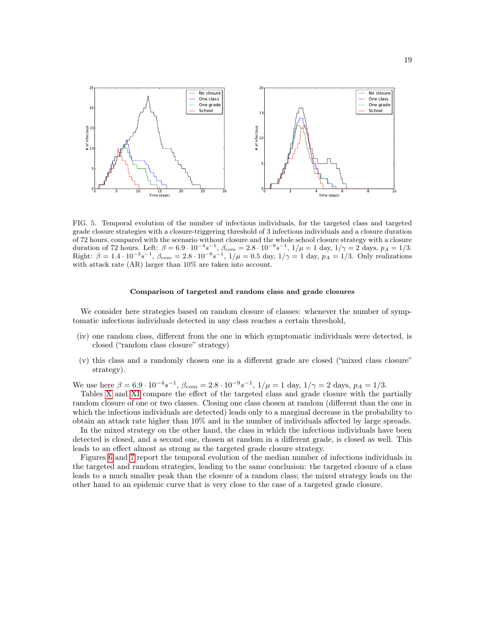

<span id="page-18-0"></span>FIG. 5. Temporal evolution of the number of infectious individuals, for the targeted class and targeted grade closure strategies with a closure-triggering threshold of 3 infectious individuals and a closure duration of 72 hours, compared with the scenario without closure and the whole school closure strategy with a closure duration of 72 hours. Left:  $\beta = 6.9 \cdot 10^{-4} s^{-1}$ ,  $\beta_{com} = 2.8 \cdot 10^{-9} s^{-1}$ ,  $1/\mu = 1$  day,  $1/\gamma = 2$  days,  $p_A = 1/3$ . Right:  $\beta = 1.4 \cdot 10^{-3} s^{-1}$ ,  $\beta_{com} = 2.8 \cdot 10^{-9} s^{-1}$ ,  $1/\mu = 0.5$  day,  $1/\gamma = 1$  day,  $p_A = 1/3$ . Only realizations with attack rate (AR) larger than 10% are taken into account.

## Comparison of targeted and random class and grade closures

We consider here strategies based on random closure of classes: whenever the number of symptomatic infectious individuals detected in any class reaches a certain threshold,

- (iv) one random class, different from the one in which symptomatic individuals were detected, is closed ("random class closure" strategy)
- (v) this class and a randomly chosen one in a different grade are closed ("mixed class closure" strategy).

We use here  $\beta = 6.9 \cdot 10^{-4} s^{-1}$ ,  $\beta_{com} = 2.8 \cdot 10^{-9} s^{-1}$ ,  $1/\mu = 1$  day,  $1/\gamma = 2$  days,  $p_A = 1/3$ .

Tables [X](#page-19-0) and [XI](#page-19-1) compare the effect of the targeted class and grade closure with the partially random closure of one or two classes. Closing one class chosen at random (different than the one in which the infectious individuals are detected) leads only to a marginal decrease in the probability to obtain an attack rate higher than 10% and in the number of individuals affected by large spreads.

In the mixed strategy on the other hand, the class in which the infectious individuals have been detected is closed, and a second one, chosen at random in a different grade, is closed as well. This leads to an effect almost as strong as the targeted grade closure strategy.

Figures [6](#page-20-0) and [7](#page-20-1) report the temporal evolution of the median number of infectious individuals in the targeted and random strategies, leading to the same conclusion: the targeted closure of a class leads to a much smaller peak than the closure of a random class; the mixed strategy leads on the other hand to an epidemic curve that is very close to the case of a targeted grade closure.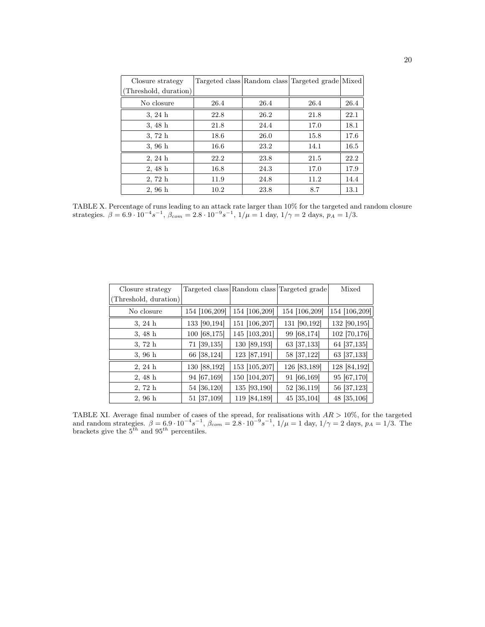| Closure strategy      |      |      | Targeted class Random class Targeted grade Mixed |      |
|-----------------------|------|------|--------------------------------------------------|------|
| (Threshold, duration) |      |      |                                                  |      |
| No closure            | 26.4 | 26.4 | 26.4                                             | 26.4 |
| 3, 24h                | 22.8 | 26.2 | 21.8                                             | 22.1 |
| 3,48h                 | 21.8 | 24.4 | 17.0                                             | 18.1 |
| 3, 72h                | 18.6 | 26.0 | 15.8                                             | 17.6 |
| 3,96h                 | 16.6 | 23.2 | 14.1                                             | 16.5 |
| 2, 24h                | 22.2 | 23.8 | 21.5                                             | 22.2 |
| 2,48h                 | 16.8 | 24.3 | 17.0                                             | 17.9 |
| 2, 72h                | 11.9 | 24.8 | 11.2                                             | 14.4 |
| 2,96h                 | 10.2 | 23.8 | 8.7                                              | 13.1 |

<span id="page-19-0"></span>TABLE X. Percentage of runs leading to an attack rate larger than 10% for the targeted and random closure strategies.  $\beta = 6.9 \cdot 10^{-4} s^{-1}$ ,  $\beta_{com} = 2.8 \cdot 10^{-9} s^{-1}$ ,  $1/\mu = 1$  day,  $1/\gamma = 2$  days,  $p_A = 1/3$ .

| Closure strategy      |               |               | Targeted class Random class Targeted grade | Mixed         |
|-----------------------|---------------|---------------|--------------------------------------------|---------------|
| (Threshold, duration) |               |               |                                            |               |
| No closure            | 154 [106,209] | 154 [106,209] | 154 [106,209]                              | 154 [106,209] |
| 3, 24h                | 133 [90,194]  | 151 [106,207] | 131 [90,192]                               | 132 [90,195]  |
| 3,48h                 | 100 [68,175]  | 145 [103,201] | 99 [68,174]                                | 102 [70,176]  |
| 3,72 h                | 71 [39,135]   | 130 [89,193]  | 63 [37,133]                                | 64 [37,135]   |
| 3,96h                 | 66 [38,124]   | 123 [87,191]  | 58 [37,122]                                | 63 [37,133]   |
| 2, 24h                | 130 [88,192]  | 153 [105,207] | 126 [83,189]                               | 128 [84,192]  |
| 2,48h                 | 94 [67,169]   | 150 [104,207] | 91 [66,169]                                | 95 [67,170]   |
| 2, 72h                | 54 [36,120]   | 135 [93,190]  | 52 [36,119]                                | 56 [37,123]   |
| 2,96h                 | 51 [37,109]   | 119 [84,189]  | 45 [35,104]                                | 48 [35,106]   |

<span id="page-19-1"></span>TABLE XI. Average final number of cases of the spread, for realisations with  $AR > 10\%$ , for the targeted and random strategies.  $\beta = 6.9 \cdot 10^{-4} s^{-1}$ ,  $\beta_{com} = 2.8 \cdot 10^{-9} s^{-1}$ ,  $1/\mu = 1$  day,  $1/\gamma = 2$  days,  $p_A = 1/3$ . The brackets give the  $5^{th}$  and  $95^{th}$  percentiles.